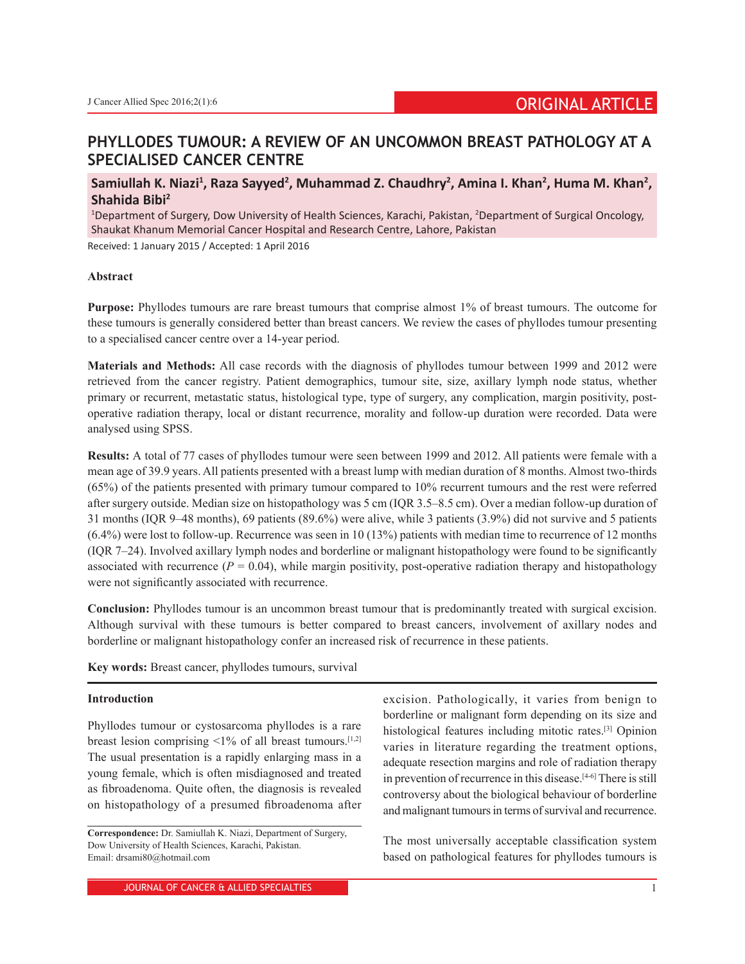# **PHYLLODES TUMOUR: A REVIEW OF AN UNCOMMON BREAST PATHOLOGY AT A SPECIALISED CANCER CENTRE**

Samiullah K. Niazi<sup>1</sup>, Raza Sayyed<sup>2</sup>, Muhammad Z. Chaudhry<sup>2</sup>, Amina I. Khan<sup>2</sup>, Huma M. Khan<sup>2</sup>, **Shahida Bibi2**

<sup>1</sup>Department of Surgery, Dow University of Health Sciences, Karachi, Pakistan, <sup>2</sup>Department of Surgical Oncology, Shaukat Khanum Memorial Cancer Hospital and Research Centre, Lahore, Pakistan Received: 1 January 2015 / Accepted: 1 April 2016

## **Abstract**

**Purpose:** Phyllodes tumours are rare breast tumours that comprise almost 1% of breast tumours. The outcome for these tumours is generally considered better than breast cancers. We review the cases of phyllodes tumour presenting to a specialised cancer centre over a 14-year period.

**Materials and Methods:** All case records with the diagnosis of phyllodes tumour between 1999 and 2012 were retrieved from the cancer registry. Patient demographics, tumour site, size, axillary lymph node status, whether primary or recurrent, metastatic status, histological type, type of surgery, any complication, margin positivity, postoperative radiation therapy, local or distant recurrence, morality and follow-up duration were recorded. Data were analysed using SPSS.

**Results:** A total of 77 cases of phyllodes tumour were seen between 1999 and 2012. All patients were female with a mean age of 39.9 years. All patients presented with a breast lump with median duration of 8 months. Almost two-thirds (65%) of the patients presented with primary tumour compared to 10% recurrent tumours and the rest were referred after surgery outside. Median size on histopathology was 5 cm (IQR 3.5–8.5 cm). Over a median follow-up duration of 31 months (IQR 9–48 months), 69 patients (89.6%) were alive, while 3 patients (3.9%) did not survive and 5 patients (6.4%) were lost to follow-up. Recurrence was seen in 10 (13%) patients with median time to recurrence of 12 months (IQR 7–24). Involved axillary lymph nodes and borderline or malignant histopathology were found to be significantly associated with recurrence  $(P = 0.04)$ , while margin positivity, post-operative radiation therapy and histopathology were not significantly associated with recurrence.

**Conclusion:** Phyllodes tumour is an uncommon breast tumour that is predominantly treated with surgical excision. Although survival with these tumours is better compared to breast cancers, involvement of axillary nodes and borderline or malignant histopathology confer an increased risk of recurrence in these patients.

**Key words:** Breast cancer, phyllodes tumours, survival

#### **Introduction**

Phyllodes tumour or cystosarcoma phyllodes is a rare breast lesion comprising  $\leq$ 1% of all breast tumours.<sup>[1,2]</sup> The usual presentation is a rapidly enlarging mass in a young female, which is often misdiagnosed and treated as fibroadenoma. Quite often, the diagnosis is revealed on histopathology of a presumed fibroadenoma after

excision. Pathologically, it varies from benign to borderline or malignant form depending on its size and histological features including mitotic rates.[3] Opinion varies in literature regarding the treatment options, adequate resection margins and role of radiation therapy in prevention of recurrence in this disease.<sup>[4-6]</sup> There is still controversy about the biological behaviour of borderline and malignant tumours in terms of survival and recurrence.

The most universally acceptable classification system based on pathological features for phyllodes tumours is

**Correspondence:** Dr. Samiullah K. Niazi, Department of Surgery, Dow University of Health Sciences, Karachi, Pakistan. Email: drsami80@hotmail.com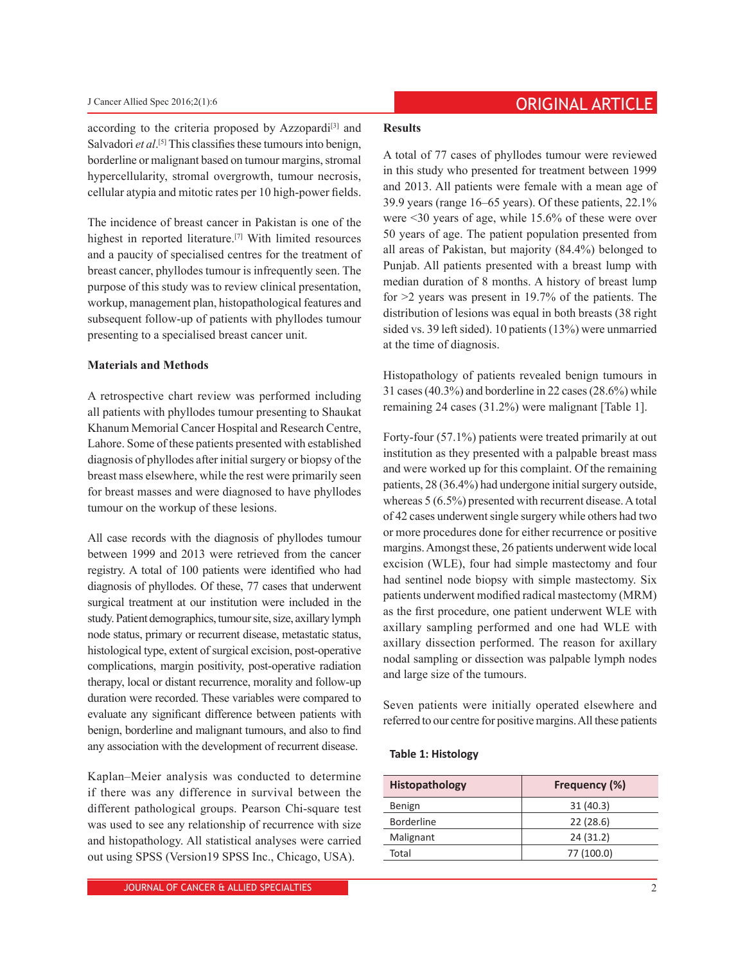according to the criteria proposed by Azzopardi $[3]$  and Salvadori *et al*.<sup>[5]</sup> This classifies these tumours into benign, borderline or malignant based on tumour margins, stromal hypercellularity, stromal overgrowth, tumour necrosis, cellular atypia and mitotic rates per 10 high-power fields.

The incidence of breast cancer in Pakistan is one of the highest in reported literature.[7] With limited resources and a paucity of specialised centres for the treatment of breast cancer, phyllodes tumour is infrequently seen. The purpose of this study was to review clinical presentation, workup, management plan, histopathological features and subsequent follow-up of patients with phyllodes tumour presenting to a specialised breast cancer unit.

# **Materials and Methods**

A retrospective chart review was performed including all patients with phyllodes tumour presenting to Shaukat Khanum Memorial Cancer Hospital and Research Centre, Lahore. Some of these patients presented with established diagnosis of phyllodes after initial surgery or biopsy of the breast mass elsewhere, while the rest were primarily seen for breast masses and were diagnosed to have phyllodes tumour on the workup of these lesions.

All case records with the diagnosis of phyllodes tumour between 1999 and 2013 were retrieved from the cancer registry. A total of 100 patients were identified who had diagnosis of phyllodes. Of these, 77 cases that underwent surgical treatment at our institution were included in the study. Patient demographics, tumour site, size, axillary lymph node status, primary or recurrent disease, metastatic status, histological type, extent of surgical excision, post-operative complications, margin positivity, post-operative radiation therapy, local or distant recurrence, morality and follow-up duration were recorded. These variables were compared to evaluate any significant difference between patients with benign, borderline and malignant tumours, and also to find any association with the development of recurrent disease.

Kaplan–Meier analysis was conducted to determine if there was any difference in survival between the different pathological groups. Pearson Chi-square test was used to see any relationship of recurrence with size and histopathology. All statistical analyses were carried out using SPSS (Version19 SPSS Inc., Chicago, USA).

## **Results**

A total of 77 cases of phyllodes tumour were reviewed in this study who presented for treatment between 1999 and 2013. All patients were female with a mean age of 39.9 years (range 16–65 years). Of these patients, 22.1% were <30 years of age, while 15.6% of these were over 50 years of age. The patient population presented from all areas of Pakistan, but majority (84.4%) belonged to Punjab. All patients presented with a breast lump with median duration of 8 months. A history of breast lump for >2 years was present in 19.7% of the patients. The distribution of lesions was equal in both breasts (38 right sided vs. 39 left sided). 10 patients (13%) were unmarried at the time of diagnosis.

Histopathology of patients revealed benign tumours in 31 cases (40.3%) and borderline in 22 cases (28.6%) while remaining 24 cases (31.2%) were malignant [Table 1].

Forty-four (57.1%) patients were treated primarily at out institution as they presented with a palpable breast mass and were worked up for this complaint. Of the remaining patients, 28 (36.4%) had undergone initial surgery outside, whereas 5 (6.5%) presented with recurrent disease. A total of 42 cases underwent single surgery while others had two or more procedures done for either recurrence or positive margins. Amongst these, 26 patients underwent wide local excision (WLE), four had simple mastectomy and four had sentinel node biopsy with simple mastectomy. Six patients underwent modified radical mastectomy (MRM) as the first procedure, one patient underwent WLE with axillary sampling performed and one had WLE with axillary dissection performed. The reason for axillary nodal sampling or dissection was palpable lymph nodes and large size of the tumours.

Seven patients were initially operated elsewhere and referred to our centre for positive margins. All these patients

## **Table 1: Histology**

| Histopathology    | Frequency (%) |
|-------------------|---------------|
| Benign            | 31(40.3)      |
| <b>Borderline</b> | 22(28.6)      |
| Malignant         | 24 (31.2)     |
| Total             | 77 (100.0)    |
|                   |               |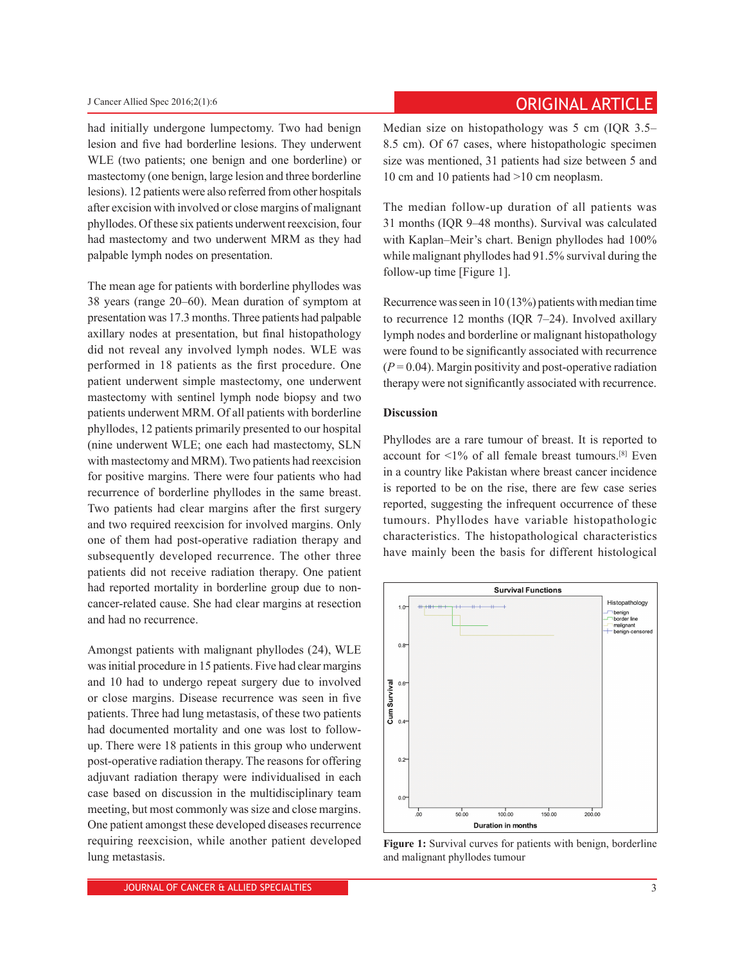had initially undergone lumpectomy. Two had benign lesion and five had borderline lesions. They underwent WLE (two patients; one benign and one borderline) or mastectomy (one benign, large lesion and three borderline lesions). 12 patients were also referred from other hospitals after excision with involved or close margins of malignant phyllodes. Of these six patients underwent reexcision, four had mastectomy and two underwent MRM as they had palpable lymph nodes on presentation.

The mean age for patients with borderline phyllodes was 38 years (range 20–60). Mean duration of symptom at presentation was 17.3 months. Three patients had palpable axillary nodes at presentation, but final histopathology did not reveal any involved lymph nodes. WLE was performed in 18 patients as the first procedure. One patient underwent simple mastectomy, one underwent mastectomy with sentinel lymph node biopsy and two patients underwent MRM. Of all patients with borderline phyllodes, 12 patients primarily presented to our hospital (nine underwent WLE; one each had mastectomy, SLN with mastectomy and MRM). Two patients had reexcision for positive margins. There were four patients who had recurrence of borderline phyllodes in the same breast. Two patients had clear margins after the first surgery and two required reexcision for involved margins. Only one of them had post-operative radiation therapy and subsequently developed recurrence. The other three patients did not receive radiation therapy. One patient had reported mortality in borderline group due to noncancer-related cause. She had clear margins at resection and had no recurrence.

Amongst patients with malignant phyllodes (24), WLE was initial procedure in 15 patients. Five had clear margins and 10 had to undergo repeat surgery due to involved or close margins. Disease recurrence was seen in five patients. Three had lung metastasis, of these two patients had documented mortality and one was lost to followup. There were 18 patients in this group who underwent post-operative radiation therapy. The reasons for offering adjuvant radiation therapy were individualised in each case based on discussion in the multidisciplinary team meeting, but most commonly was size and close margins. One patient amongst these developed diseases recurrence requiring reexcision, while another patient developed lung metastasis.

# **ORIGINAL ARTICLE** *J* Cancer Allied Spec 2016;2(1):6

Median size on histopathology was 5 cm (IQR 3.5– 8.5 cm). Of 67 cases, where histopathologic specimen size was mentioned, 31 patients had size between 5 and 10 cm and 10 patients had >10 cm neoplasm.

The median follow-up duration of all patients was 31 months (IQR 9–48 months). Survival was calculated with Kaplan–Meir's chart. Benign phyllodes had 100% while malignant phyllodes had 91.5% survival during the follow-up time [Figure 1].

Recurrence was seen in 10 (13%) patients with median time to recurrence 12 months (IQR 7–24). Involved axillary lymph nodes and borderline or malignant histopathology were found to be significantly associated with recurrence  $(P = 0.04)$ . Margin positivity and post-operative radiation therapy were not significantly associated with recurrence.

# **Discussion**

Phyllodes are a rare tumour of breast. It is reported to account for  $\leq$ 1% of all female breast tumours.<sup>[8]</sup> Even in a country like Pakistan where breast cancer incidence is reported to be on the rise, there are few case series reported, suggesting the infrequent occurrence of these tumours. Phyllodes have variable histopathologic characteristics. The histopathological characteristics have mainly been the basis for different histological



**Figure 1:** Survival curves for patients with benign, borderline and malignant phyllodes tumour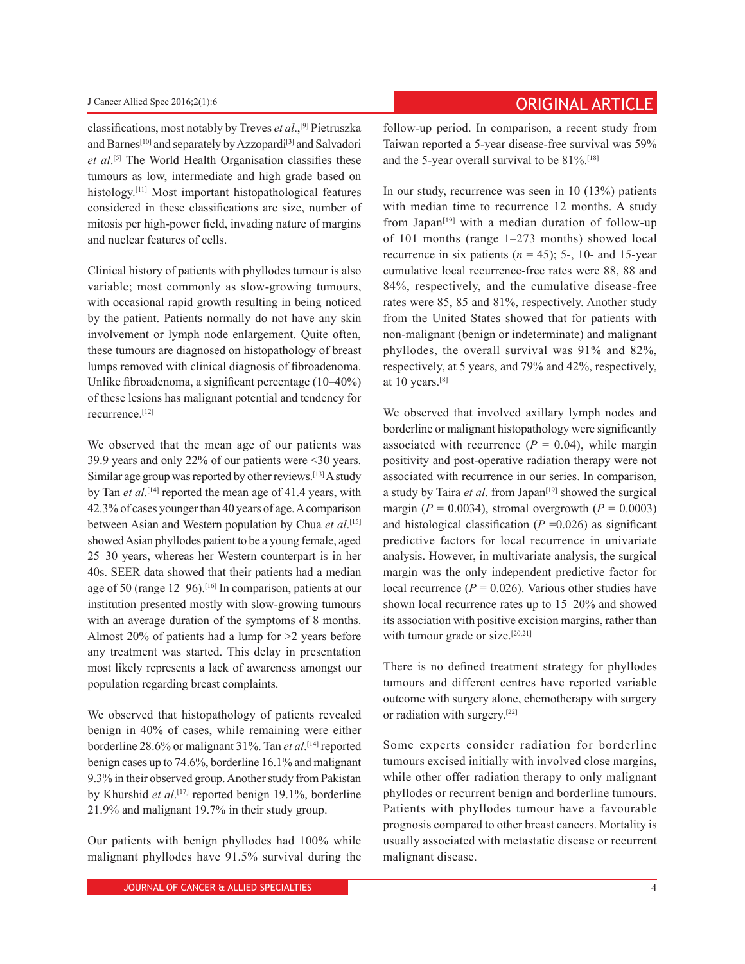classifications, most notably by Treves *et al*.,[9] Pietruszka and Barnes<sup>[10]</sup> and separately by Azzopardi<sup>[3]</sup> and Salvadori et al.<sup>[5]</sup> The World Health Organisation classifies these tumours as low, intermediate and high grade based on histology.[11] Most important histopathological features considered in these classifications are size, number of mitosis per high-power field, invading nature of margins and nuclear features of cells.

Clinical history of patients with phyllodes tumour is also variable; most commonly as slow-growing tumours, with occasional rapid growth resulting in being noticed by the patient. Patients normally do not have any skin involvement or lymph node enlargement. Quite often, these tumours are diagnosed on histopathology of breast lumps removed with clinical diagnosis of fibroadenoma. Unlike fibroadenoma, a significant percentage (10–40%) of these lesions has malignant potential and tendency for recurrence.[12]

We observed that the mean age of our patients was 39.9 years and only 22% of our patients were <30 years. Similar age group was reported by other reviews.[13] A study by Tan *et al*. [14] reported the mean age of 41.4 years, with 42.3% of cases younger than 40 years of age. Acomparison between Asian and Western population by Chua *et al*. [15] showed Asian phyllodes patient to be a young female, aged 25–30 years, whereas her Western counterpart is in her 40s. SEER data showed that their patients had a median age of 50 (range 12–96).[16] In comparison, patients at our institution presented mostly with slow-growing tumours with an average duration of the symptoms of 8 months. Almost 20% of patients had a lump for >2 years before any treatment was started. This delay in presentation most likely represents a lack of awareness amongst our population regarding breast complaints.

We observed that histopathology of patients revealed benign in 40% of cases, while remaining were either borderline 28.6% or malignant 31%. Tan *et al*. [14] reported benign cases up to 74.6%, borderline 16.1% and malignant 9.3% in their observed group. Another study from Pakistan by Khurshid *et al*. [17] reported benign 19.1%, borderline 21.9% and malignant 19.7% in their study group.

Our patients with benign phyllodes had 100% while malignant phyllodes have 91.5% survival during the

# **Cancer Allied Spec 2016;2(1):6 Cancer Allied Spec 2016;2(1):6**

follow-up period. In comparison, a recent study from Taiwan reported a 5-year disease-free survival was 59% and the 5-year overall survival to be 81%.[18]

In our study, recurrence was seen in 10 (13%) patients with median time to recurrence 12 months. A study from Japan<sup> $[19]$ </sup> with a median duration of follow-up of 101 months (range 1–273 months) showed local recurrence in six patients  $(n = 45)$ ; 5-, 10- and 15-year cumulative local recurrence-free rates were 88, 88 and 84%, respectively, and the cumulative disease-free rates were 85, 85 and 81%, respectively. Another study from the United States showed that for patients with non-malignant (benign or indeterminate) and malignant phyllodes, the overall survival was 91% and 82%, respectively, at 5 years, and 79% and 42%, respectively, at 10 years.[8]

We observed that involved axillary lymph nodes and borderline or malignant histopathology were significantly associated with recurrence  $(P = 0.04)$ , while margin positivity and post-operative radiation therapy were not associated with recurrence in our series. In comparison, a study by Taira *et al*. from Japan<sup>[19]</sup> showed the surgical margin ( $P = 0.0034$ ), stromal overgrowth ( $P = 0.0003$ ) and histological classification  $(P = 0.026)$  as significant predictive factors for local recurrence in univariate analysis. However, in multivariate analysis, the surgical margin was the only independent predictive factor for local recurrence ( $P = 0.026$ ). Various other studies have shown local recurrence rates up to 15–20% and showed its association with positive excision margins, rather than with tumour grade or size.<sup>[20,21]</sup>

There is no defined treatment strategy for phyllodes tumours and different centres have reported variable outcome with surgery alone, chemotherapy with surgery or radiation with surgery.[22]

Some experts consider radiation for borderline tumours excised initially with involved close margins, while other offer radiation therapy to only malignant phyllodes or recurrent benign and borderline tumours. Patients with phyllodes tumour have a favourable prognosis compared to other breast cancers. Mortality is usually associated with metastatic disease or recurrent malignant disease.